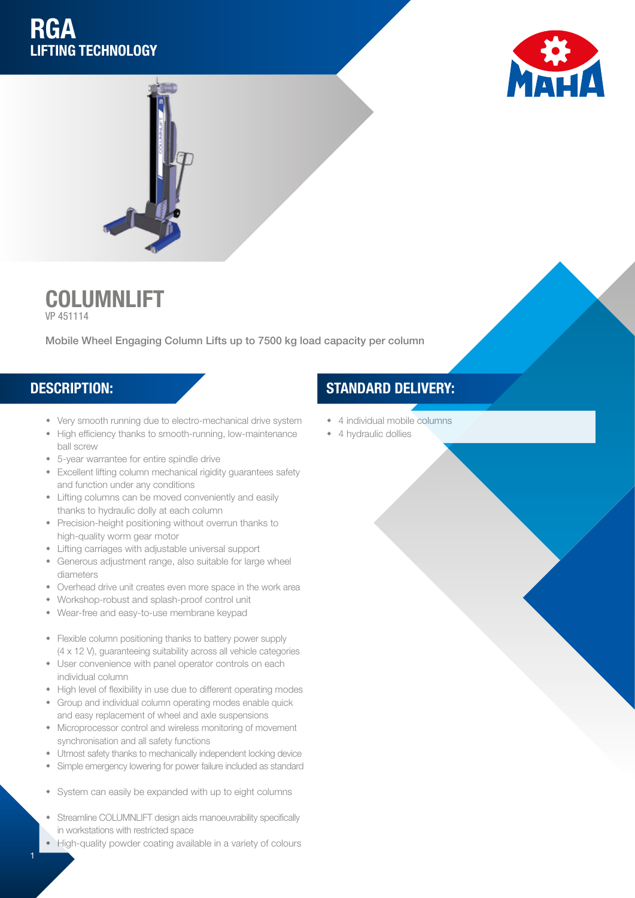# **RGA** LIFTING TECHNOLOGY





COLUMNLIFT VP 451114

Mobile Wheel Engaging Column Lifts up to 7500 kg load capacity per column

1

- Very smooth running due to electro-mechanical drive system
- High efficiency thanks to smooth-running, low-maintenance ball screw
- 5-year warrantee for entire spindle drive
- **\*** Excellent lifting column mechanical rigidity guarantees safety and function under any conditions
- Lifting columns can be moved conveniently and easily thanks to hydraulic dolly at each column
- Precision-height positioning without overrun thanks to high-quality worm gear motor
- Lifting carriages with adjustable universal support
- Generous adjustment range, also suitable for large wheel diameters
- Overhead drive unit creates even more space in the work area
- w Workshop-robust and splash-proof control unit
- Wear-free and easy-to-use membrane keypad
- Flexible column positioning thanks to battery power supply (4 x 12 V), guaranteeing suitability across all vehicle categories
- User convenience with panel operator controls on each individual column
- High level of flexibility in use due to different operating modes
- Group and individual column operating modes enable quick and easy replacement of wheel and axle suspensions
- Microprocessor control and wireless monitoring of movement synchronisation and all safety functions
- $\bullet$  Utmost safety thanks to mechanically independent locking device
- Simple emergency lowering for power failure included as standard
- System can easily be expanded with up to eight columns
- Streamline COLUMNLIFT design aids manoeuvrability specifically in workstations with restricted space
- High-quality powder coating available in a variety of colours

### DESCRIPTION: STANDARD DELIVERY:

- 4 individual mobile columns
- 4 hydraulic dollies